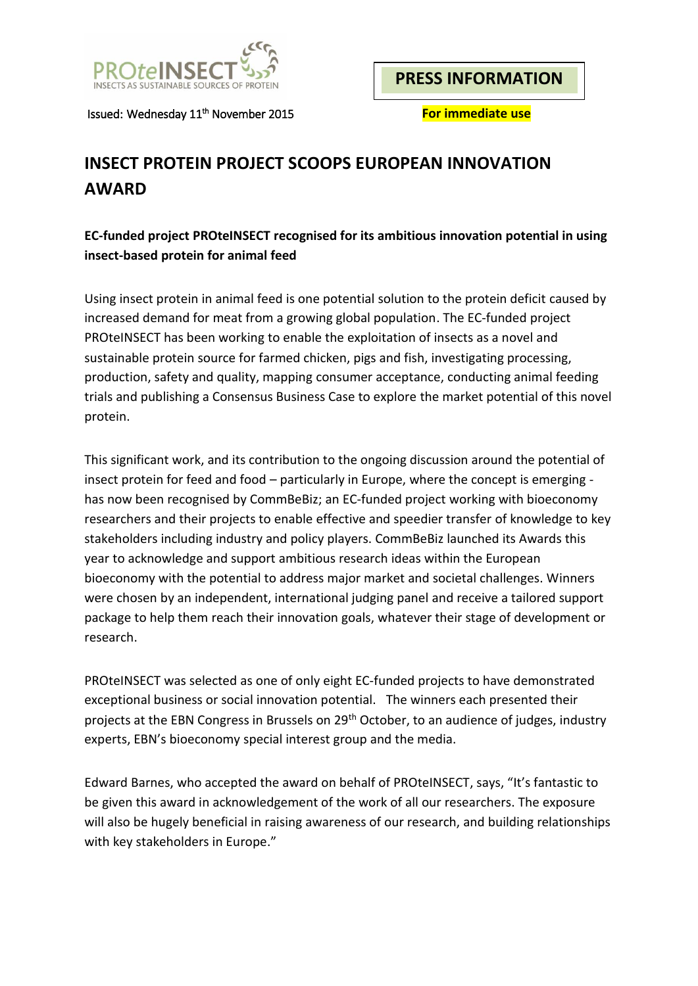

**PRESS INFORMATION**

Issued: Wednesday 11<sup>th</sup> November 2015

**For immediate use** 

# **INSECT PROTEIN PROJECT SCOOPS EUROPEAN INNOVATION AWARD**

## **EC-funded project PROteINSECT recognised for its ambitious innovation potential in using insect-based protein for animal feed**

Using insect protein in animal feed is one potential solution to the protein deficit caused by increased demand for meat from a growing global population. The EC-funded project PROteINSECT has been working to enable the exploitation of insects as a novel and sustainable protein source for farmed chicken, pigs and fish, investigating processing, production, safety and quality, mapping consumer acceptance, conducting animal feeding trials and publishing a Consensus Business Case to explore the market potential of this novel protein.

This significant work, and its contribution to the ongoing discussion around the potential of insect protein for feed and food – particularly in Europe, where the concept is emerging has now been recognised by CommBeBiz; an EC-funded project working with bioeconomy researchers and their projects to enable effective and speedier transfer of knowledge to key stakeholders including industry and policy players. CommBeBiz launched its Awards this year to acknowledge and support ambitious research ideas within the European bioeconomy with the potential to address major market and societal challenges. Winners were chosen by an independent, international judging panel and receive a tailored support package to help them reach their innovation goals, whatever their stage of development or research.

PROteINSECT was selected as one of only eight EC-funded projects to have demonstrated exceptional business or social innovation potential. The winners each presented their projects at the EBN Congress in Brussels on 29th October, to an audience of judges, industry experts, EBN's bioeconomy special interest group and the media.

Edward Barnes, who accepted the award on behalf of PROteINSECT, says, "It's fantastic to be given this award in acknowledgement of the work of all our researchers. The exposure will also be hugely beneficial in raising awareness of our research, and building relationships with key stakeholders in Europe."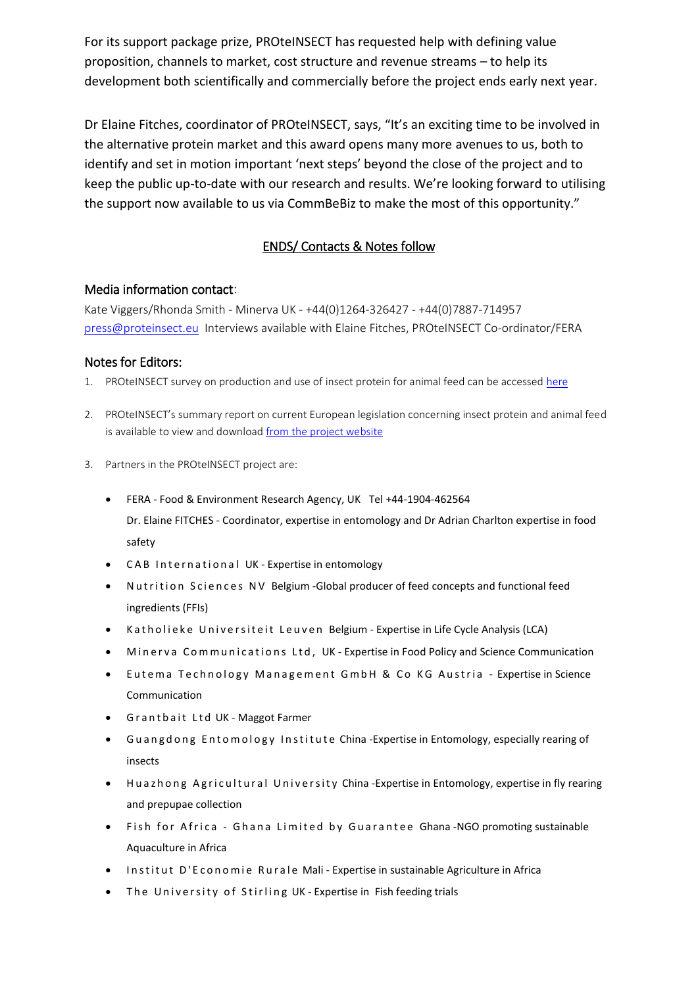For its support package prize, PROteINSECT has requested help with defining value proposition, channels to market, cost structure and revenue streams – to help its development both scientifically and commercially before the project ends early next year.

Dr Elaine Fitches, coordinator of PROteINSECT, says, "It's an exciting time to be involved in the alternative protein market and this award opens many more avenues to us, both to identify and set in motion important 'next steps' beyond the close of the project and to keep the public up-to-date with our research and results. We're looking forward to utilising the support now available to us via CommBeBiz to make the most of this opportunity."

## ENDS/ Contacts & Notes follow

#### Media information contact:

Kate Viggers/Rhonda Smith - Minerva UK - +44(0)1264-326427 - +44(0)7887-714957 [press@proteinsect.eu](mailto:press@proteinsect.eu) Interviews available with Elaine Fitches, PROteINSECT Co-ordinator/FERA

### Notes for Editors:

- 1. PROteINSECT survey on production and use of insect protein for animal feed can be accessed [here](http://www.proteinsect.eu/index.php?id=2)
- 2. PROteINSECT's summary report on current European legislation concerning insect protein and animal feed is available to view and download [from the project website](http://www.proteinsect.eu/index.php?id=3)
- 3. Partners in the PROteINSECT project are:
	- FERA Food & Environment Research Agency, UK Tel +44-1904-462564 Dr. Elaine FITCHES - Coordinator, expertise in entomology and Dr Adrian Charlton expertise in food safety
	- CAB International UK Expertise in entomology
	- Nutrition Sciences NV Belgium Global producer of feed concepts and functional feed ingredients (FFIs)
	- Katholieke Universiteit Leuven Belgium Expertise in Life Cycle Analysis (LCA)
	- $\bullet$  Minerva Communications Ltd, UK Expertise in Food Policy and Science Communication
	- Eutema Technology Management GmbH & Co KG Austria Expertise in Science Communication
	- Grantbait Ltd UK Maggot Farmer
	- Guangdong Entomology Institute China-Expertise in Entomology, especially rearing of insects
	- Huazhong Agricultural University China-Expertise in Entomology, expertise in fly rearing and prepupae collection
	- Fish for Africa Ghana Limited by Guarantee Ghana-NGO promoting sustainable Aquaculture in Africa
	- $\bullet$  Institut D'Economie Rurale Mali Expertise in sustainable Agriculture in Africa
	- The University of Stirling UK Expertise in Fish feeding trials